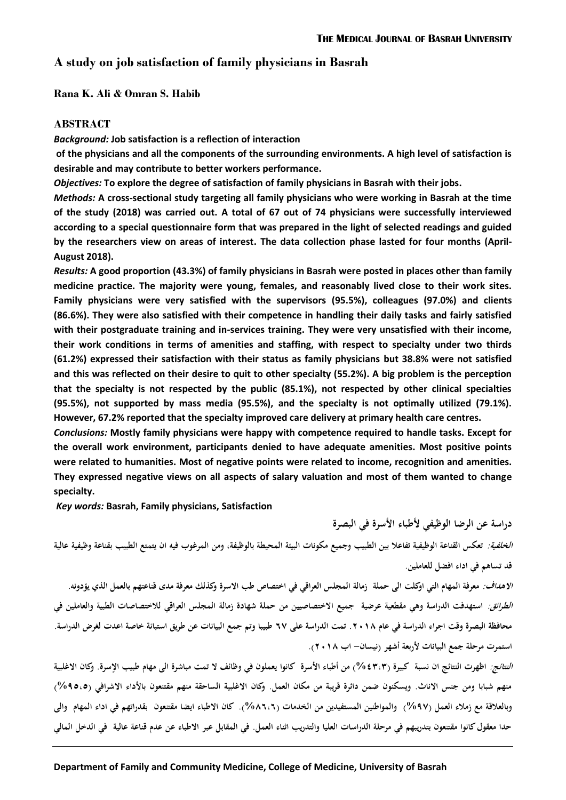**دراسة عن الرضا الوظيفي ألطباء األسرة في البصرة** 

## **A study on job satisfaction of family physicians in Basrah**

**Rana K. Ali & Omran S. Habib** 

#### **ABSTRACT**

*Background:* **Job satisfaction is a reflection of interaction**

**of the physicians and all the components of the surrounding environments. A high level of satisfaction is desirable and may contribute to better workers performance.**

*Objectives:* **To explore the degree of satisfaction of family physicians in Basrah with their jobs.** 

*Methods:* **A cross-sectional study targeting all family physicians who were working in Basrah at the time of the study (2018) was carried out. A total of 67 out of 74 physicians were successfully interviewed according to a special questionnaire form that was prepared in the light of selected readings and guided by the researchers view on areas of interest. The data collection phase lasted for four months (April-August 2018).** 

*Results:* **A good proportion (43.3%) of family physicians in Basrah were posted in places other than family medicine practice. The majority were young, females, and reasonably lived close to their work sites. Family physicians were very satisfied with the supervisors (95.5%), colleagues (97.0%) and clients (86.6%). They were also satisfied with their competence in handling their daily tasks and fairly satisfied with their postgraduate training and in-services training. They were very unsatisfied with their income, their work conditions in terms of amenities and staffing, with respect to specialty under two thirds (61.2%) expressed their satisfaction with their status as family physicians but 38.8% were not satisfied and this was reflected on their desire to quit to other specialty (55.2%). A big problem is the perception that the specialty is not respected by the public (85.1%), not respected by other clinical specialties (95.5%), not supported by mass media (95.5%), and the specialty is not optimally utilized (79.1%). However, 67.2% reported that the specialty improved care delivery at primary health care centres.**

*Conclusions:* **Mostly family physicians were happy with competence required to handle tasks. Except for the overall work environment, participants denied to have adequate amenities. Most positive points were related to humanities. Most of negative points were related to income, recognition and amenities. They expressed negative views on all aspects of salary valuation and most of them wanted to change specialty.**

*Key words:* **Basrah, Family physicians, Satisfaction**

**الخلفية: تعكس القناعة الوظيفية تفاعال بين الطبيب وجميع مكونات البيئة المحيطة بالوظيفة، ومن المرغوب فيه ان يتمتع الطبيب بقناعة وظيفية عالية قد تساهم في اداء افضل للعاملين.**

*الاهداف:* معرفة المهام التي اوكلت الى حملة زمالة المجلس العراقي في اختصاص طب الاسرة وكذلك معرفة مدى قناعتهم بالعمل الذي يؤدونه. **الطرائق: استهدفت الدراسة وهي مقطعية عرضية جميع االختصاصيين من حملة شهادة زمالة المجلس العراقي لالختصاصات الطبية والعاملين في محافظة البصرة وقت اجراء الدراسة في عام .8102 تمت الدراسة على 76 طبيبا وتم جمع البيانات عن طريق استبانة خاصة اعدت لغرض الدراسة. استمرت مرحلة جمع البيانات ألربعة أشهر )نيسان- اب 8102(.**

*النتائج:* اظهرت النتائج ان نسبة كبيرة (٤٣،٣) من أطباء الأسرة كانوا يعملون في وظائف لا تمت مباشرة الى مهام طبيب الإسرة. وكان الاغلبية **منهم شبابا ومن جنس االناث. ويسكنون ضمن دائرة قريبة من مكان العمل. وكان االغلبية الساحقة منهم مقتنعون باألداء االشرافي )%59،9( وبالعالقة مع زمالء العمل )%56( والمواطنين المستفيدين من الخدمات )%27،7(. كان االطباء ايضا مقتنعون بقدراتهم في اداء المهام والى حدا معقول كانوا مقتنعون بتدريبهم في مرحلة الدراسات العليا والتدريب اثناء العمل. في المقابل عبر االطباء عن عدم قناعة عالية في الدخل المالي**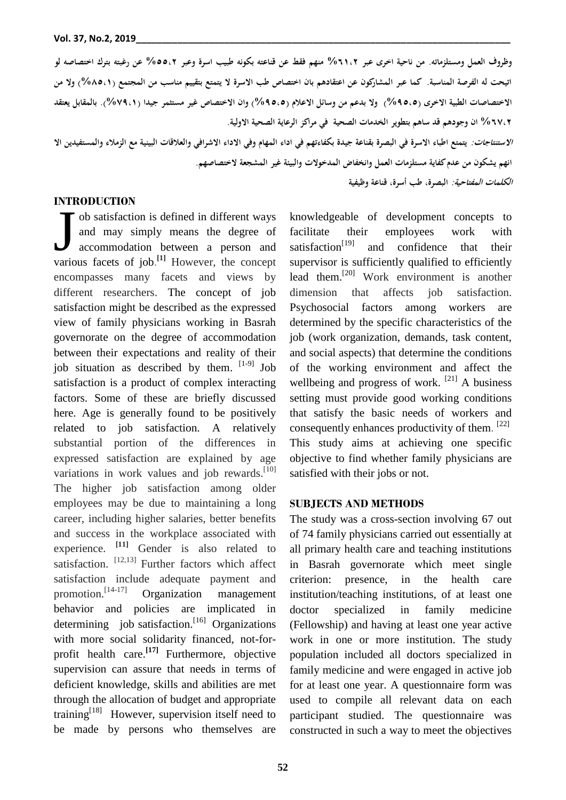**وظروف العمل ومستلزماته. من ناحية اخرى عبر %70،8 منهم فقط عن قناعته بكونه طبيب اسرة وعبر %99،8 عن رغبته بترك اختصاصه لو اتيحت له الفرصة المناسبة. كما عبر المشاركون عن اعتقادهم بان اختصاص طب االسرة ال يتمتع بتقييم مناسب من المجتمع )%29،0( وال من االختصاصات الطبية االخرى )%59،9( وال بدعم من وسائل االعالم )%59،9( وان االختصاص غير مستثمر جيدا )%65،0(. بالمقابل يعتقد %76،8 ان وجودهم قد ساهم بتطوير الخدمات الصحية في مراكز الرعاية الصحية االولية.** *الاستنتاجات:* يتمتع اطباء الاسرة في البصرة بقناعة جيدة بكفاءتهم في اداء المهام وفي الاداء الاشرافي والعلاقات البينية مع الزملاء والمستفيدين الا **انهم يشكون من عدم كفاية مستلزمات العمل وانخفاض المدخوالت والبيئة غير المشجعة الختصاصهم. الكلمات المفتاحية: البصرة، طب أسرة، قناعة وظيفية**

### **INTRODUCTION**

ob satisfaction is defined in different ways and may simply means the degree of accommodation between a person and **1988 CELLER**<br>
ob satisfaction is defined in different ways<br>
and may simply means the degree of<br>
accommodation between a person and<br>
various facets of job.<sup>[1]</sup> However, the concept encompasses many facets and views by different researchers. The concept of job satisfaction might be described as the expressed view of family physicians working in Basrah governorate on the degree of accommodation between their expectations and reality of their job situation as described by them. [1-9] Job satisfaction is a product of complex interacting factors. Some of these are briefly discussed here. Age is generally found to be positively related to job satisfaction. A relatively substantial portion of the differences in expressed satisfaction are explained by age variations in work values and job rewards.<sup>[10]</sup> The higher job satisfaction among older employees may be due to maintaining a long career, including higher salaries, better benefits and success in the workplace associated with experience. **[11]** Gender is also related to satisfaction. [12,13] Further factors which affect satisfaction include adequate payment and promotion.<sup>[14-17]</sup> Organization management behavior and policies are implicated in determining job satisfaction.<sup>[16]</sup> Organizations with more social solidarity financed, not-forprofit health care.**[17]** Furthermore, objective supervision can assure that needs in terms of deficient knowledge, skills and abilities are met through the allocation of budget and appropriate training[18]However, supervision itself need to be made by persons who themselves are

knowledgeable of development concepts to facilitate their employees work with satisfaction $[19]$ and confidence that their supervisor is sufficiently qualified to efficiently lead them.[20] Work environment is another dimension that affects job satisfaction. Psychosocial factors among workers are determined by the specific characteristics of the job (work organization, demands, task content, and social aspects) that determine the conditions of the working environment and affect the wellbeing and progress of work. <sup>[21]</sup> A business setting must provide good working conditions that satisfy the basic needs of workers and consequently enhances productivity of them. [22] This study aims at achieving one specific objective to find whether family physicians are satisfied with their jobs or not.

#### **SUBJECTS AND METHODS**

The study was a cross-section involving 67 out of 74 family physicians carried out essentially at all primary health care and teaching institutions in Basrah governorate which meet single criterion: presence, in the health care institution/teaching institutions, of at least one doctor specialized in family medicine (Fellowship) and having at least one year active work in one or more institution. The study population included all doctors specialized in family medicine and were engaged in active job for at least one year. A questionnaire form was used to compile all relevant data on each participant studied. The questionnaire was constructed in such a way to meet the objectives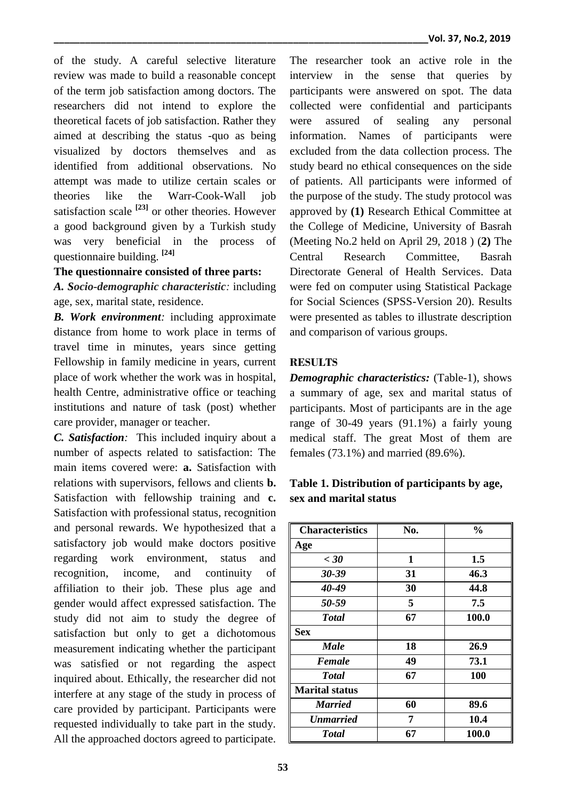of the study. A careful selective literature review was made to build a reasonable concept of the term job satisfaction among doctors. The researchers did not intend to explore the theoretical facets of job satisfaction. Rather they aimed at describing the status -quo as being visualized by doctors themselves and as identified from additional observations. No attempt was made to utilize certain scales or theories like the Warr-Cook-Wall job satisfaction scale **[23]** or other theories. However a good background given by a Turkish study was very beneficial in the process of questionnaire building. **[24]**

# **The questionnaire consisted of three parts:**

*A. Socio-demographic characteristic:* including age, sex, marital state, residence.

*B. Work environment:* including approximate distance from home to work place in terms of travel time in minutes, years since getting Fellowship in family medicine in years, current place of work whether the work was in hospital, health Centre, administrative office or teaching institutions and nature of task (post) whether care provider, manager or teacher.

*C. Satisfaction:* This included inquiry about a number of aspects related to satisfaction: The main items covered were: **a.** Satisfaction with relations with supervisors, fellows and clients **b.** Satisfaction with fellowship training and **c.** Satisfaction with professional status, recognition and personal rewards. We hypothesized that a satisfactory job would make doctors positive regarding work environment, status and recognition, income, and continuity of affiliation to their job. These plus age and gender would affect expressed satisfaction. The study did not aim to study the degree of satisfaction but only to get a dichotomous measurement indicating whether the participant was satisfied or not regarding the aspect inquired about. Ethically, the researcher did not interfere at any stage of the study in process of care provided by participant. Participants were requested individually to take part in the study. All the approached doctors agreed to participate.

The researcher took an active role in the interview in the sense that queries by participants were answered on spot. The data collected were confidential and participants were assured of sealing any personal information. Names of participants were excluded from the data collection process. The study beard no ethical consequences on the side of patients. All participants were informed of the purpose of the study. The study protocol was approved by **(1)** Research Ethical Committee at the College of Medicine, University of Basrah (Meeting No.2 held on April 29, 2018 ) (**2)** The Central Research Committee, Basrah Directorate General of Health Services. Data were fed on computer using Statistical Package for Social Sciences (SPSS-Version 20). Results were presented as tables to illustrate description and comparison of various groups.

## **RESULTS**

*Demographic characteristics:* (Table-1), shows a summary of age, sex and marital status of participants. Most of participants are in the age range of 30-49 years (91.1%) a fairly young medical staff. The great Most of them are females (73.1%) and married (89.6%).

## **Table 1. Distribution of participants by age, sex and marital status**

| <b>Characteristics</b> | No. | $\frac{0}{0}$ |
|------------------------|-----|---------------|
| Age                    |     |               |
| $\epsilon$ 30          | 1   | 1.5           |
| 30-39                  | 31  | 46.3          |
| 40-49                  | 30  | 44.8          |
| 50-59                  | 5   | 7.5           |
| <b>Total</b>           | 67  | 100.0         |
| <b>Sex</b>             |     |               |
| <b>Male</b>            | 18  | 26.9          |
| <b>Female</b>          | 49  | 73.1          |
| <b>Total</b>           | 67  | 100           |
| <b>Marital status</b>  |     |               |
| <b>Married</b>         | 60  | 89.6          |
| <b>Unmarried</b>       | 7   | 10.4          |
| <b>Total</b>           | 67  | 100.0         |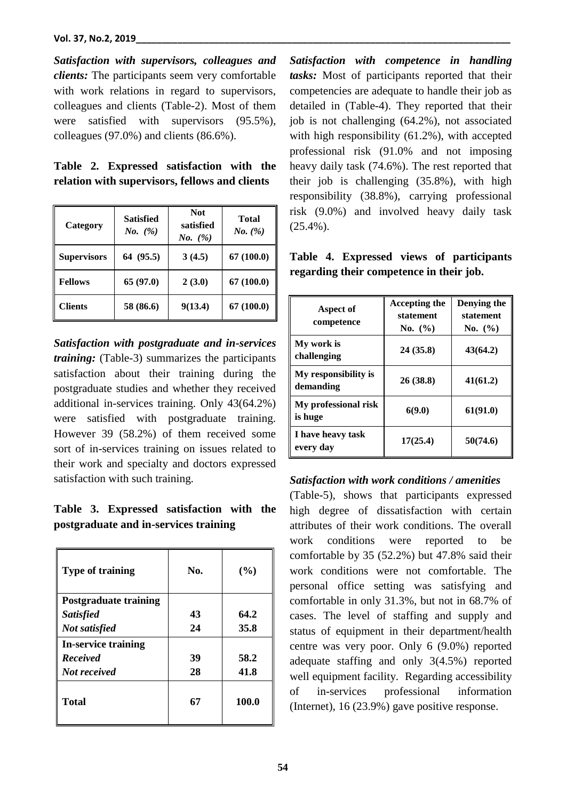#### **Vol. 37, No.2, 2019\_\_\_\_\_\_\_\_\_\_\_\_\_\_\_\_\_\_\_\_\_\_\_\_\_\_\_\_\_\_\_\_\_\_\_\_\_\_\_\_\_\_\_\_\_\_\_\_\_\_\_\_\_\_\_\_\_\_\_\_\_\_\_\_\_\_\_\_\_\_\_\_**

*Satisfaction with supervisors, colleagues and clients:* The participants seem very comfortable with work relations in regard to supervisors, colleagues and clients (Table-2). Most of them were satisfied with supervisors (95.5%), colleagues (97.0%) and clients (86.6%).

|  | Table 2. Expressed satisfaction with the       |  |
|--|------------------------------------------------|--|
|  | relation with supervisors, fellows and clients |  |

| Category           | <b>Satisfied</b><br><i>No.</i> $(\%)$ | <b>Not</b><br>satisfied<br><i>No.</i> $(\%)$ | Total<br><i>No.</i> $(\%)$ |
|--------------------|---------------------------------------|----------------------------------------------|----------------------------|
| <b>Supervisors</b> | 64 (95.5)                             | 3(4.5)                                       | 67(100.0)                  |
| <b>Fellows</b>     | 65 (97.0)                             | 2(3.0)                                       | 67(100.0)                  |
| <b>Clients</b>     | 58 (86.6)                             | 9(13.4)                                      | 67(100.0)                  |

*Satisfaction with postgraduate and in-services training:* (Table-3) summarizes the participants satisfaction about their training during the postgraduate studies and whether they received additional in-services training. Only 43(64.2%) were satisfied with postgraduate training. However 39 (58.2%) of them received some sort of in-services training on issues related to their work and specialty and doctors expressed satisfaction with such training.

**Table 3. Expressed satisfaction with the postgraduate and in-services training**

| <b>Type of training</b>    | No. | (%)   |
|----------------------------|-----|-------|
| Postgraduate training      |     |       |
| <b>Satisfied</b>           | 43  | 64.2  |
| Not satisfied              | 24  | 35.8  |
| <b>In-service training</b> |     |       |
| <b>Received</b>            | 39  | 58.2  |
| <b>Not received</b>        | 28  | 41.8  |
| <b>Total</b>               | 67  | 100.0 |

*Satisfaction with competence in handling tasks:* Most of participants reported that their competencies are adequate to handle their job as detailed in (Table-4). They reported that their job is not challenging (64.2%), not associated with high responsibility (61.2%), with accepted professional risk (91.0% and not imposing heavy daily task (74.6%). The rest reported that their job is challenging (35.8%), with high responsibility (38.8%), carrying professional risk (9.0%) and involved heavy daily task (25.4%).

|  |                                          |  | Table 4. Expressed views of participants |
|--|------------------------------------------|--|------------------------------------------|
|  | regarding their competence in their job. |  |                                          |

| Aspect of<br>competence           | <b>Accepting the</b><br>statement<br>No. $(\% )$ | Denying the<br>statement<br>No. $(\% )$ |
|-----------------------------------|--------------------------------------------------|-----------------------------------------|
| My work is<br>challenging         | 24(35.8)                                         | 43(64.2)                                |
| My responsibility is<br>demanding | 26(38.8)                                         | 41(61.2)                                |
| My professional risk<br>is huge   | 6(9.0)                                           | 61(91.0)                                |
| I have heavy task<br>every day    | 17(25.4)                                         | 50(74.6)                                |

*Satisfaction with work conditions / amenities*

(Table-5), shows that participants expressed high degree of dissatisfaction with certain attributes of their work conditions. The overall work conditions were reported to be comfortable by 35 (52.2%) but 47.8% said their work conditions were not comfortable. The personal office setting was satisfying and comfortable in only 31.3%, but not in 68.7% of cases. The level of staffing and supply and status of equipment in their department/health centre was very poor. Only 6 (9.0%) reported adequate staffing and only 3(4.5%) reported well equipment facility. Regarding accessibility of in-services professional information (Internet), 16 (23.9%) gave positive response.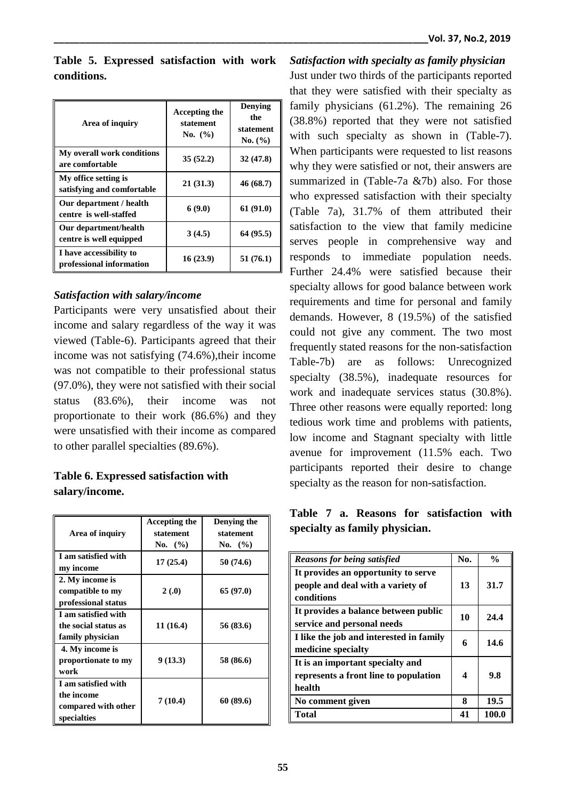|             |  | Table 5. Expressed satisfaction with work |  |
|-------------|--|-------------------------------------------|--|
| conditions. |  |                                           |  |

| Area of inquiry                                     | Accepting the<br>statement<br>No. $(\% )$ | Denying<br>the<br>statement<br>No. (%) |
|-----------------------------------------------------|-------------------------------------------|----------------------------------------|
| My overall work conditions<br>are comfortable       | 35(52.2)                                  | 32(47.8)                               |
| My office setting is<br>satisfying and comfortable  | 21(31.3)                                  | 46 (68.7)                              |
| Our department / health<br>centre is well-staffed   | 6(9.0)                                    | 61 (91.0)                              |
| Our department/health<br>centre is well equipped    | 3(4.5)                                    | 64 (95.5)                              |
| I have accessibility to<br>professional information | 16(23.9)                                  | 51(76.1)                               |

## *Satisfaction with salary/income*

Participants were very unsatisfied about their income and salary regardless of the way it was viewed (Table-6). Participants agreed that their income was not satisfying (74.6%),their income was not compatible to their professional status (97.0%), they were not satisfied with their social status (83.6%), their income was not proportionate to their work (86.6%) and they were unsatisfied with their income as compared to other parallel specialties (89.6%).

# **Table 6. Expressed satisfaction with salary/income.**

| Area of inquiry                                                         | Accepting the<br>statement<br>No. $(\% )$ | Denying the<br>statement<br>No. $(\% )$ |
|-------------------------------------------------------------------------|-------------------------------------------|-----------------------------------------|
| I am satisfied with<br>my income                                        | 17(25.4)                                  | 50 (74.6)                               |
| 2. My income is<br>compatible to my<br>professional status              | 2(0.0)                                    | 65 (97.0)                               |
| I am satisfied with<br>the social status as<br>family physician         | 11 (16.4)                                 | 56 (83.6)                               |
| 4. My income is<br>proportionate to my<br>work                          | 9(13.3)                                   | 58 (86.6)                               |
| I am satisfied with<br>the income<br>compared with other<br>specialties | 7(10.4)                                   | 60 (89.6)                               |

*Satisfaction with specialty as family physician* Just under two thirds of the participants reported that they were satisfied with their specialty as family physicians (61.2%). The remaining 26 (38.8%) reported that they were not satisfied with such specialty as shown in (Table-7). When participants were requested to list reasons why they were satisfied or not, their answers are summarized in (Table-7a &7b) also. For those who expressed satisfaction with their specialty (Table 7a), 31.7% of them attributed their satisfaction to the view that family medicine serves people in comprehensive way and responds to immediate population needs. Further 24.4% were satisfied because their specialty allows for good balance between work requirements and time for personal and family demands. However, 8 (19.5%) of the satisfied could not give any comment. The two most frequently stated reasons for the non-satisfaction Table-7b) are as follows: Unrecognized specialty (38.5%), inadequate resources for work and inadequate services status (30.8%). Three other reasons were equally reported: long tedious work time and problems with patients, low income and Stagnant specialty with little avenue for improvement (11.5% each. Two participants reported their desire to change specialty as the reason for non-satisfaction.

|  |                                | Table 7 a. Reasons for satisfaction with |  |
|--|--------------------------------|------------------------------------------|--|
|  | specialty as family physician. |                                          |  |

| <b>Reasons for being satisfied</b>      | No. | $\frac{0}{0}$ |
|-----------------------------------------|-----|---------------|
| It provides an opportunity to serve     |     |               |
| people and deal with a variety of       | 13  | 31.7          |
| conditions                              |     |               |
| It provides a balance between public    | 10  | 24.4          |
| service and personal needs              |     |               |
| I like the job and interested in family | 6   | 14.6          |
| medicine specialty                      |     |               |
| It is an important specialty and        |     |               |
| represents a front line to population   | 4   | 9.8           |
| health                                  |     |               |
| No comment given                        | 8   | 19.5          |
| Total                                   | 41  | <b>100.0</b>  |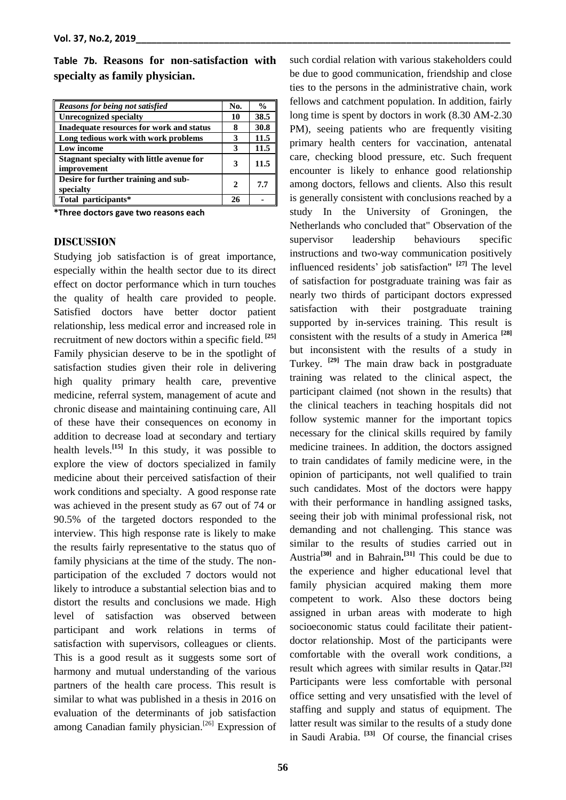|  |                                | Table 7b. Reasons for non-satisfaction with |  |
|--|--------------------------------|---------------------------------------------|--|
|  | specialty as family physician. |                                             |  |

| Reasons for being not satisfied                          | No. | $\frac{0}{0}$ |
|----------------------------------------------------------|-----|---------------|
| <b>Unrecognized specialty</b>                            | 10  | 38.5          |
| Inadequate resources for work and status                 |     | 30.8          |
| Long tedious work with work problems                     |     | 11.5          |
| Low income                                               | 3   | 11.5          |
| Stagnant specialty with little avenue for<br>improvement | 3   | 11.5          |
| Desire for further training and sub-<br>specialty        | 2   | 7.7           |
| Total participants*                                      |     |               |

**\*Three doctors gave two reasons each**

#### **DISCUSSION**

Studying job satisfaction is of great importance, especially within the health sector due to its direct effect on doctor performance which in turn touches the quality of health care provided to people. Satisfied doctors have better doctor patient relationship, less medical error and increased role in recruitment of new doctors within a specific field. **[25]** Family physician deserve to be in the spotlight of satisfaction studies given their role in delivering high quality primary health care, preventive medicine, referral system, management of acute and chronic disease and maintaining continuing care, All of these have their consequences on economy in addition to decrease load at secondary and tertiary health levels.**[15]** In this study, it was possible to explore the view of doctors specialized in family medicine about their perceived satisfaction of their work conditions and specialty. A good response rate was achieved in the present study as 67 out of 74 or 90.5% of the targeted doctors responded to the interview. This high response rate is likely to make the results fairly representative to the status quo of family physicians at the time of the study. The nonparticipation of the excluded 7 doctors would not likely to introduce a substantial selection bias and to distort the results and conclusions we made. High level of satisfaction was observed between participant and work relations in terms of satisfaction with supervisors, colleagues or clients. This is a good result as it suggests some sort of harmony and mutual understanding of the various partners of the health care process. This result is similar to what was published in a thesis in 2016 on evaluation of the determinants of job satisfaction among Canadian family physician.<sup>[26]</sup> Expression of such cordial relation with various stakeholders could be due to good communication, friendship and close ties to the persons in the administrative chain, work fellows and catchment population. In addition, fairly long time is spent by doctors in work (8.30 AM-2.30 PM), seeing patients who are frequently visiting primary health centers for vaccination, antenatal care, checking blood pressure, etc. Such frequent encounter is likely to enhance good relationship among doctors, fellows and clients. Also this result is generally consistent with conclusions reached by a study In the University of Groningen, the Netherlands who concluded that" Observation of the supervisor leadership behaviours specific instructions and two-way communication positively influenced residents' job satisfaction" **[27]** The level of satisfaction for postgraduate training was fair as nearly two thirds of participant doctors expressed satisfaction with their postgraduate training supported by in-services training. This result is consistent with the results of a study in America **[28]** but inconsistent with the results of a study in Turkey. **[29]** The main draw back in postgraduate training was related to the clinical aspect, the participant claimed (not shown in the results) that the clinical teachers in teaching hospitals did not follow systemic manner for the important topics necessary for the clinical skills required by family medicine trainees. In addition, the doctors assigned to train candidates of family medicine were, in the opinion of participants, not well qualified to train such candidates. Most of the doctors were happy with their performance in handling assigned tasks, seeing their job with minimal professional risk, not demanding and not challenging. This stance was similar to the results of studies carried out in Austria**[30]** and in Bahrain**. [31]** This could be due to the experience and higher educational level that family physician acquired making them more competent to work. Also these doctors being assigned in urban areas with moderate to high socioeconomic status could facilitate their patientdoctor relationship. Most of the participants were comfortable with the overall work conditions, a result which agrees with similar results in Qatar. **[32]** Participants were less comfortable with personal office setting and very unsatisfied with the level of staffing and supply and status of equipment. The latter result was similar to the results of a study done in Saudi Arabia. **[33]** Of course, the financial crises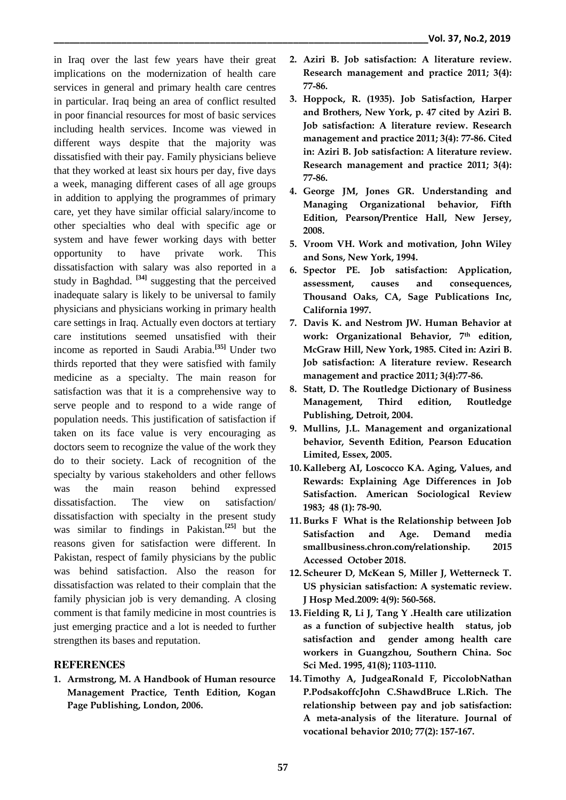in Iraq over the last few years have their great implications on the modernization of health care services in general and primary health care centres in particular. Iraq being an area of conflict resulted in poor financial resources for most of basic services including health services. Income was viewed in different ways despite that the majority was dissatisfied with their pay. Family physicians believe that they worked at least six hours per day, five days a week, managing different cases of all age groups in addition to applying the programmes of primary care, yet they have similar official salary/income to other specialties who deal with specific age or system and have fewer working days with better opportunity to have private work. This dissatisfaction with salary was also reported in a study in Baghdad. **[34]** suggesting that the perceived inadequate salary is likely to be universal to family physicians and physicians working in primary health care settings in Iraq. Actually even doctors at tertiary care institutions seemed unsatisfied with their income as reported in Saudi Arabia.**[35]** Under two thirds reported that they were satisfied with family medicine as a specialty. The main reason for satisfaction was that it is a comprehensive way to serve people and to respond to a wide range of population needs. This justification of satisfaction if taken on its face value is very encouraging as doctors seem to recognize the value of the work they do to their society. Lack of recognition of the specialty by various stakeholders and other fellows was the main reason behind expressed dissatisfaction. The view on satisfaction/ dissatisfaction with specialty in the present study was similar to findings in Pakistan.**[25]** but the reasons given for satisfaction were different. In Pakistan, respect of family physicians by the public was behind satisfaction. Also the reason for dissatisfaction was related to their complain that the family physician job is very demanding. A closing comment is that family medicine in most countries is just emerging practice and a lot is needed to further strengthen its bases and reputation.

#### **REFERENCES**

**1. Armstrong, M. A Handbook of Human resource Management Practice, Tenth Edition, Kogan Page Publishing, London, 2006.**

- **2. Aziri B. Job satisfaction: A literature review. Research management and practice 2011; 3(4): 77-86.**
- **3. Hoppock, R. (1935). Job Satisfaction, Harper and Brothers, New York, p. 47 cited by Aziri B. Job satisfaction: A literature review. Research management and practice 2011; 3(4): 77-86. Cited in: Aziri B. Job satisfaction: A literature review. Research management and practice 2011; 3(4): 77-86.**
- **4. George JM, Jones GR. Understanding and Managing Organizational behavior, Fifth Edition, Pearson/Prentice Hall, New Jersey, 2008.**
- **5. Vroom VH. Work and motivation, John Wiley and Sons, New York, 1994.**
- **6. Spector PE. Job satisfaction: Application, assessment, causes and consequences, Thousand Oaks, CA, Sage Publications Inc, California 1997.**
- **7. Davis K. and Nestrom JW. Human Behavior at work: Organizational Behavior, 7th edition, McGraw Hill, New York, 1985. Cited in: Aziri B. Job satisfaction: A literature review. Research management and practice 2011; 3(4):77-86.**
- **8. Statt, D. The Routledge Dictionary of Business Management, Third edition, Routledge Publishing, Detroit, 2004.**
- **9. Mullins, J.L. Management and organizational behavior, Seventh Edition, Pearson Education Limited, Essex, 2005.**
- **10. Kalleberg AI, Loscocco KA. Aging, Values, and Rewards: Explaining Age Differences in Job Satisfaction. American Sociological Review 1983; 48 (1): 78-90.**
- **11.Burks F What is the Relationship between Job Satisfaction and Age. Demand media smallbusiness.chron.com/relationship. 2015 Accessed October 2018.**
- **12. Scheurer D, McKean S, Miller J, Wetterneck T. US physician satisfaction: A systematic review. J Hosp Med.2009: 4(9): 560-568.**
- **13. Fielding R, Li J, Tang Y .Health care utilization as a function of subjective health status, job satisfaction and gender among health care workers in Guangzhou, Southern China. Soc Sci Med. 1995, 41(8); 1103-1110.**
- **14.Timothy A, JudgeaRonald F, PiccolobNathan P.PodsakoffcJohn C.ShawdBruce L.Rich. The relationship between pay and job satisfaction: A meta-analysis of the literature. Journal of vocational behavior 2010; 77(2): 157-167.**